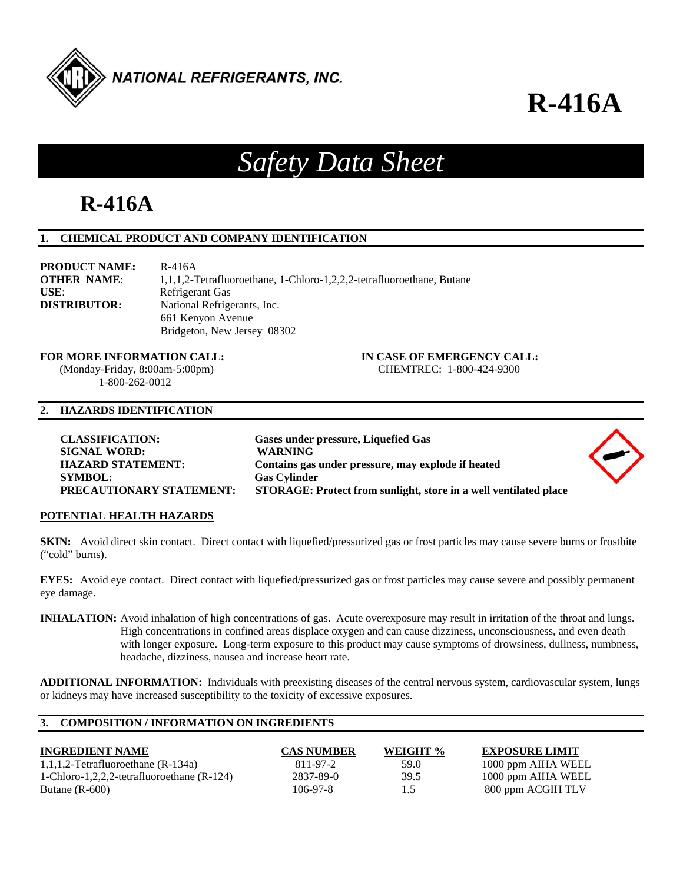

# **R-416A**

# *Safety Data Sheet*

# **R-416A**

# **1. CHEMICAL PRODUCT AND COMPANY IDENTIFICATION**

| <b>PRODUCT NAME:</b> | R-416A                                                                |
|----------------------|-----------------------------------------------------------------------|
| <b>OTHER NAME:</b>   | 1,1,1,2-Tetrafluoroethane, 1-Chloro-1,2,2,2-tetrafluoroethane, Butane |
| USE:                 | Refrigerant Gas                                                       |
| <b>DISTRIBUTOR:</b>  | National Refrigerants, Inc.                                           |
|                      | 661 Kenyon Avenue                                                     |
|                      | Bridgeton, New Jersey 08302                                           |

**FOR MORE INFORMATION CALL: IN CASE OF EMERGENCY CALL:**  (Monday-Friday, 8:00am-5:00pm) CHEMTREC: 1-800-424-9300 1-800-262-0012

# **2. HAZARDS IDENTIFICATION**

| <b>CLASSIFICATION:</b>          | Gases under pressure, Liquefied Gas                              |  |
|---------------------------------|------------------------------------------------------------------|--|
| <b>SIGNAL WORD:</b>             | <b>WARNING</b>                                                   |  |
| <b>HAZARD STATEMENT:</b>        | Contains gas under pressure, may explode if heated               |  |
| <b>SYMBOL:</b>                  | <b>Gas Cylinder</b>                                              |  |
| <b>PRECAUTIONARY STATEMENT:</b> | STORAGE: Protect from sunlight, store in a well ventilated place |  |
|                                 |                                                                  |  |

# **POTENTIAL HEALTH HAZARDS**

**SKIN:** Avoid direct skin contact. Direct contact with liquefied/pressurized gas or frost particles may cause severe burns or frostbite ("cold" burns).

**EYES:** Avoid eye contact. Direct contact with liquefied/pressurized gas or frost particles may cause severe and possibly permanent eye damage.

**INHALATION:** Avoid inhalation of high concentrations of gas. Acute overexposure may result in irritation of the throat and lungs. High concentrations in confined areas displace oxygen and can cause dizziness, unconsciousness, and even death with longer exposure. Long-term exposure to this product may cause symptoms of drowsiness, dullness, numbness, headache, dizziness, nausea and increase heart rate.

**ADDITIONAL INFORMATION:** Individuals with preexisting diseases of the central nervous system, cardiovascular system, lungs or kidneys may have increased susceptibility to the toxicity of excessive exposures.

# **3. COMPOSITION / INFORMATION ON INGREDIENTS**

| <b>INGREDIENT NAME</b>                       | <b>CAS NUMBER</b> | WEIGHT % | <b>EXPOSURE LIMIT</b> |
|----------------------------------------------|-------------------|----------|-----------------------|
| $1,1,1,2$ -Tetrafluoroethane (R-134a)        | 811-97-2          | 59.0     | 1000 ppm AIHA WEEL    |
| 1-Chloro-1,2,2,2-tetrafluoroethane $(R-124)$ | 2837-89-0         | 39.5     | 1000 ppm AIHA WEEL    |
| Butane $(R-600)$                             | $106 - 97 - 8$    |          | 800 ppm ACGIH TLV     |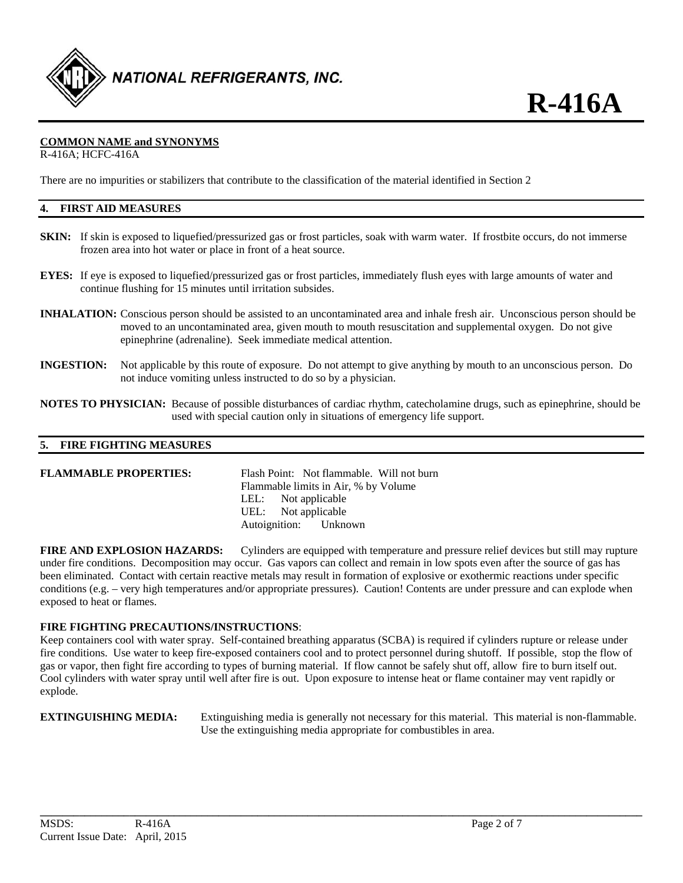

# **COMMON NAME and SYNONYMS**

R-416A; HCFC-416A

There are no impurities or stabilizers that contribute to the classification of the material identified in Section 2

# **4. FIRST AID MEASURES**

- **SKIN:** If skin is exposed to liquefied/pressurized gas or frost particles, soak with warm water. If frostbite occurs, do not immerse frozen area into hot water or place in front of a heat source.
- **EYES:** If eye is exposed to liquefied/pressurized gas or frost particles, immediately flush eyes with large amounts of water and continue flushing for 15 minutes until irritation subsides.
- **INHALATION:** Conscious person should be assisted to an uncontaminated area and inhale fresh air. Unconscious person should be moved to an uncontaminated area, given mouth to mouth resuscitation and supplemental oxygen. Do not give epinephrine (adrenaline). Seek immediate medical attention.
- **INGESTION:** Not applicable by this route of exposure. Do not attempt to give anything by mouth to an unconscious person. Do not induce vomiting unless instructed to do so by a physician.
- **NOTES TO PHYSICIAN:** Because of possible disturbances of cardiac rhythm, catecholamine drugs, such as epinephrine, should be used with special caution only in situations of emergency life support.

# **5. FIRE FIGHTING MEASURES**

#### **FLAMMABLE PROPERTIES:** Flash Point: Not flammable. Will not burn

 Flammable limits in Air, % by Volume LEL: Not applicable UEL: Not applicable Autoignition: Unknown

**FIRE AND EXPLOSION HAZARDS:** Cylinders are equipped with temperature and pressure relief devices but still may rupture under fire conditions. Decomposition may occur. Gas vapors can collect and remain in low spots even after the source of gas has been eliminated. Contact with certain reactive metals may result in formation of explosive or exothermic reactions under specific conditions (e.g. – very high temperatures and/or appropriate pressures). Caution! Contents are under pressure and can explode when exposed to heat or flames.

# **FIRE FIGHTING PRECAUTIONS/INSTRUCTIONS**:

Keep containers cool with water spray. Self-contained breathing apparatus (SCBA) is required if cylinders rupture or release under fire conditions. Use water to keep fire-exposed containers cool and to protect personnel during shutoff. If possible, stop the flow of gas or vapor, then fight fire according to types of burning material. If flow cannot be safely shut off, allow fire to burn itself out. Cool cylinders with water spray until well after fire is out. Upon exposure to intense heat or flame container may vent rapidly or explode.

**\_\_\_\_\_\_\_\_\_\_\_\_\_\_\_\_\_\_\_\_\_\_\_\_\_\_\_\_\_\_\_\_\_\_\_\_\_\_\_\_\_\_\_\_\_\_\_\_\_\_\_\_\_\_\_\_\_\_\_\_\_\_\_\_\_\_\_\_\_\_\_\_\_\_\_\_\_\_\_\_\_\_\_\_\_\_\_\_\_\_\_\_\_\_\_\_\_\_\_\_\_\_\_\_\_\_\_\_** 

**EXTINGUISHING MEDIA:** Extinguishing media is generally not necessary for this material. This material is non-flammable. Use the extinguishing media appropriate for combustibles in area.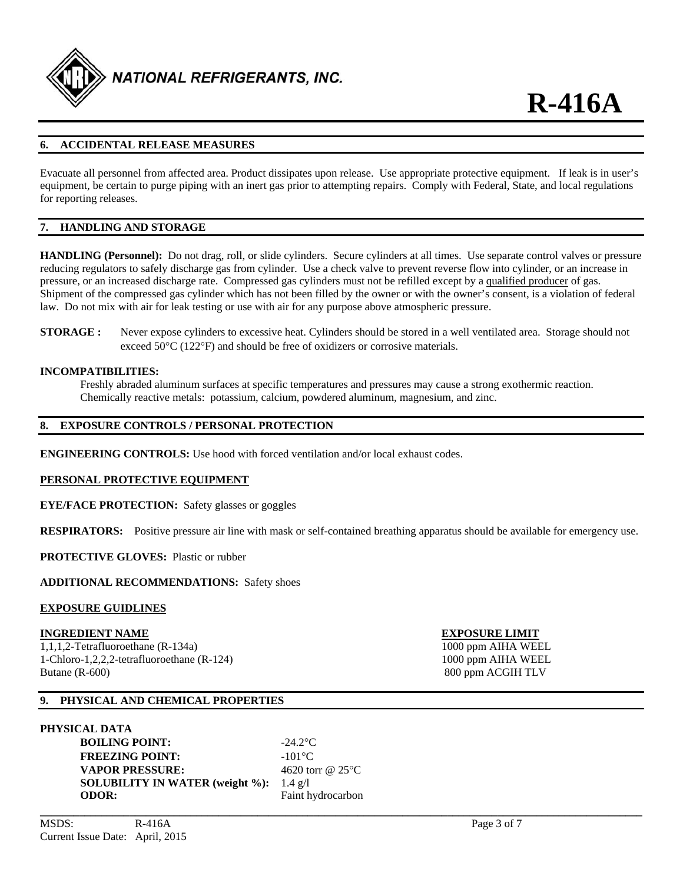

# **6. ACCIDENTAL RELEASE MEASURES**

Evacuate all personnel from affected area. Product dissipates upon release. Use appropriate protective equipment. If leak is in user's equipment, be certain to purge piping with an inert gas prior to attempting repairs. Comply with Federal, State, and local regulations for reporting releases.

# **7. HANDLING AND STORAGE**

**HANDLING (Personnel):** Do not drag, roll, or slide cylinders. Secure cylinders at all times. Use separate control valves or pressure reducing regulators to safely discharge gas from cylinder. Use a check valve to prevent reverse flow into cylinder, or an increase in pressure, or an increased discharge rate. Compressed gas cylinders must not be refilled except by a qualified producer of gas. Shipment of the compressed gas cylinder which has not been filled by the owner or with the owner's consent, is a violation of federal law. Do not mix with air for leak testing or use with air for any purpose above atmospheric pressure.

**STORAGE :** Never expose cylinders to excessive heat. Cylinders should be stored in a well ventilated area. Storage should not exceed  $50^{\circ}$ C (122 $^{\circ}$ F) and should be free of oxidizers or corrosive materials.

#### **INCOMPATIBILITIES:**

Freshly abraded aluminum surfaces at specific temperatures and pressures may cause a strong exothermic reaction. Chemically reactive metals: potassium, calcium, powdered aluminum, magnesium, and zinc.

# **8. EXPOSURE CONTROLS / PERSONAL PROTECTION**

**ENGINEERING CONTROLS:** Use hood with forced ventilation and/or local exhaust codes.

#### **PERSONAL PROTECTIVE EQUIPMENT**

**EYE/FACE PROTECTION:** Safety glasses or goggles

**RESPIRATORS:** Positive pressure air line with mask or self-contained breathing apparatus should be available for emergency use.

**PROTECTIVE GLOVES:** Plastic or rubber

#### **ADDITIONAL RECOMMENDATIONS:** Safety shoes

#### **EXPOSURE GUIDLINES**

#### **INGREDIENT NAME EXPOSURE LIMIT**

1,1,1,2-Tetrafluoroethane (R-134a) 1000 ppm AIHA WEEL 1-Chloro-1,2,2,2-tetrafluoroethane (R-124) 1000 ppm AIHA WEEL Butane (R-600) 800 ppm ACGIH TLV

# **9. PHYSICAL AND CHEMICAL PROPERTIES**

### **PHYSICAL DATA**

**BOILING POINT:**  $-24.2^{\circ}\text{C}$ **FREEZING POINT:**  $-101^{\circ}\text{C}$ **VAPOR PRESSURE:** 4620 torr @ 25 °C **SOLUBILITY IN WATER (weight %):** 1.4 g/l **ODOR:** Faint hydrocarbon

**\_\_\_\_\_\_\_\_\_\_\_\_\_\_\_\_\_\_\_\_\_\_\_\_\_\_\_\_\_\_\_\_\_\_\_\_\_\_\_\_\_\_\_\_\_\_\_\_\_\_\_\_\_\_\_\_\_\_\_\_\_\_\_\_\_\_\_\_\_\_\_\_\_\_\_\_\_\_\_\_\_\_\_\_\_\_\_\_\_\_\_\_\_\_\_\_\_\_\_\_\_\_\_\_\_\_\_\_**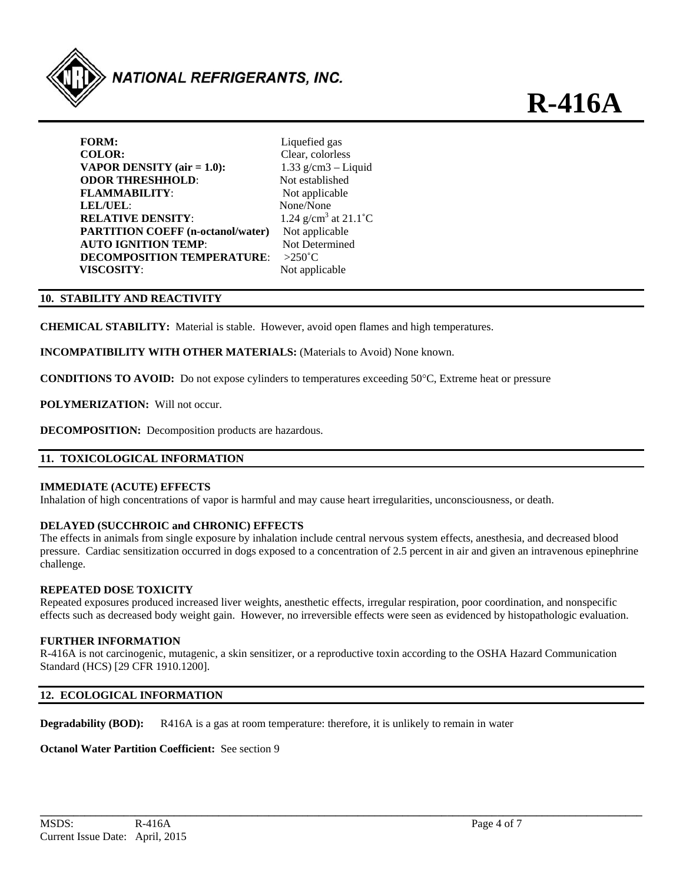

**FORM:** Liquefied gas **COLOR:** Clear, colorless **VAPOR DENSITY (air = 1.0):**  $1.33 \text{ g/cm}3 - \text{Liquid}$ **ODOR THRESHHOLD:** Not established **FLAMMABILITY:** Not applicable **LEL/UEL**: None/None **RELATIVE DENSITY: PARTITION COEFF (n-octanol/water)** Not applicable **AUTO IGNITION TEMP:** Not Determined **DECOMPOSITION TEMPERATURE**: >250˚C **VISCOSITY:** Not applicable

1.24 g/cm<sup>3</sup> at  $21.1^{\circ}$ C

# **10. STABILITY AND REACTIVITY**

**CHEMICAL STABILITY:** Material is stable. However, avoid open flames and high temperatures.

**INCOMPATIBILITY WITH OTHER MATERIALS:** (Materials to Avoid) None known.

**CONDITIONS TO AVOID:** Do not expose cylinders to temperatures exceeding 50°C, Extreme heat or pressure

**POLYMERIZATION:** Will not occur.

**DECOMPOSITION:** Decomposition products are hazardous.

# **11. TOXICOLOGICAL INFORMATION**

# **IMMEDIATE (ACUTE) EFFECTS**

Inhalation of high concentrations of vapor is harmful and may cause heart irregularities, unconsciousness, or death.

# **DELAYED (SUCCHROIC and CHRONIC) EFFECTS**

The effects in animals from single exposure by inhalation include central nervous system effects, anesthesia, and decreased blood pressure. Cardiac sensitization occurred in dogs exposed to a concentration of 2.5 percent in air and given an intravenous epinephrine challenge.

# **REPEATED DOSE TOXICITY**

Repeated exposures produced increased liver weights, anesthetic effects, irregular respiration, poor coordination, and nonspecific effects such as decreased body weight gain. However, no irreversible effects were seen as evidenced by histopathologic evaluation.

#### **FURTHER INFORMATION**

R-416A is not carcinogenic, mutagenic, a skin sensitizer, or a reproductive toxin according to the OSHA Hazard Communication Standard (HCS) [29 CFR 1910.1200].

# **12. ECOLOGICAL INFORMATION**

**Degradability (BOD):** R416A is a gas at room temperature: therefore, it is unlikely to remain in water

# **Octanol Water Partition Coefficient:** See section 9

**R-416A**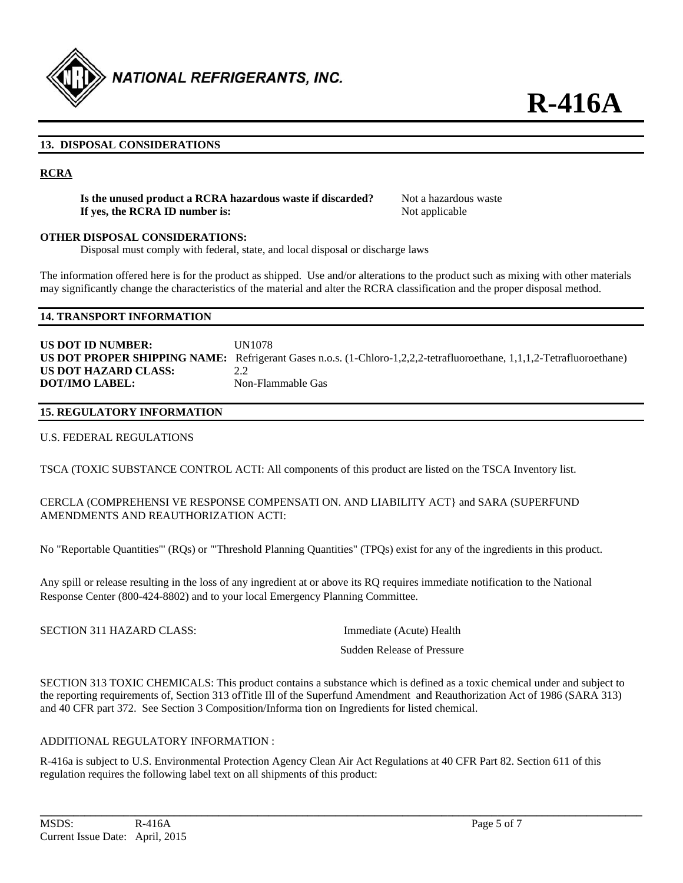

# **13. DISPOSAL CONSIDERATIONS**

## **RCRA**

**Is the unused product a RCRA hazardous waste if discarded?** Not a hazardous waste **If yes, the RCRA ID number is:** Not applicable

### **OTHER DISPOSAL CONSIDERATIONS:**

Disposal must comply with federal, state, and local disposal or discharge laws

The information offered here is for the product as shipped. Use and/or alterations to the product such as mixing with other materials may significantly change the characteristics of the material and alter the RCRA classification and the proper disposal method.

# **14. TRANSPORT INFORMATION**

**US DOT ID NUMBER:** UN1078 **US DOT PROPER SHIPPING NAME:** Refrigerant Gases n.o.s. (1-Chloro-1,2,2,2-tetrafluoroethane, 1,1,1,2-Tetrafluoroethane) **US DOT HAZARD CLASS:** 2.2 **DOT/IMO LABEL:** Non-Flammable Gas

# **15. REGULATORY INFORMATION**

U.S. FEDERAL REGULATIONS

TSCA (TOXIC SUBSTANCE CONTROL ACTI: All components of this product are listed on the TSCA Inventory list.

# CERCLA (COMPREHENSI VE RESPONSE COMPENSATI ON. AND LIABILITY ACT} and SARA (SUPERFUND AMENDMENTS AND REAUTHORIZATION ACTI:

No "Reportable Quantities"' (RQs) or "'Threshold Planning Quantities" (TPQs) exist for any of the ingredients in this product.

Any spill or release resulting in the loss of any ingredient at or above its RQ requires immediate notification to the National Response Center (800-424-8802) and to your local Emergency Planning Committee.

| SECTION 311 HAZARD CLASS: | Immediate (Acute) Health   |  |
|---------------------------|----------------------------|--|
|                           | Sudden Release of Pressure |  |

SECTION 313 TOXIC CHEMICALS: This product contains a substance which is defined as a toxic chemical under and subject to the reporting requirements of, Section 313 ofTitle Ill of the Superfund Amendment and Reauthorization Act of 1986 (SARA 313) and 40 CFR part 372. See Section 3 Composition/Informa tion on Ingredients for listed chemical.

# ADDITIONAL REGULATORY INFORMATION :

R-416a is subject to U.S. Environmental Protection Agency Clean Air Act Regulations at 40 CFR Part 82. Section 611 of this regulation requires the following label text on all shipments of this product:

**\_\_\_\_\_\_\_\_\_\_\_\_\_\_\_\_\_\_\_\_\_\_\_\_\_\_\_\_\_\_\_\_\_\_\_\_\_\_\_\_\_\_\_\_\_\_\_\_\_\_\_\_\_\_\_\_\_\_\_\_\_\_\_\_\_\_\_\_\_\_\_\_\_\_\_\_\_\_\_\_\_\_\_\_\_\_\_\_\_\_\_\_\_\_\_\_\_\_\_\_\_\_\_\_\_\_\_\_**